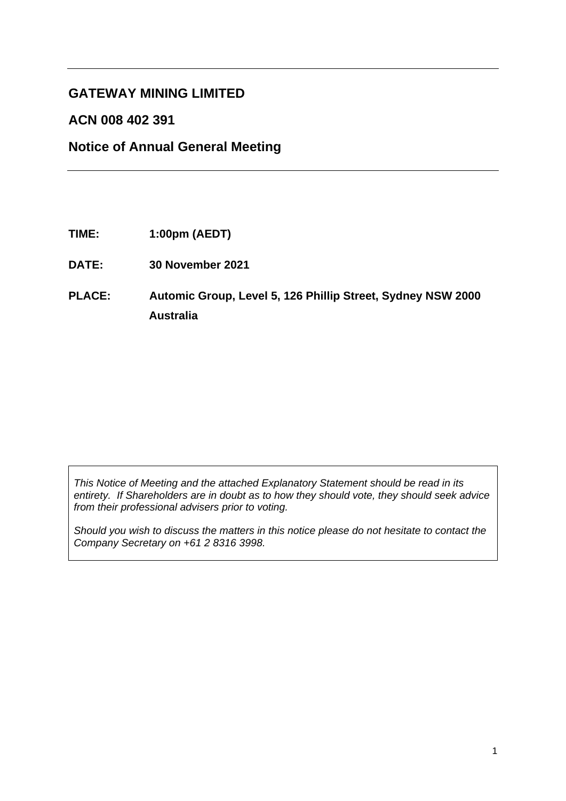## **GATEWAY MINING LIMITED**

## **ACN 008 402 391**

## **Notice of Annual General Meeting**

- **TIME: 1:00pm (AEDT)**
- **DATE: 30 November 2021**

## **PLACE: Automic Group, Level 5, 126 Phillip Street, Sydney NSW 2000 Australia**

*This Notice of Meeting and the attached Explanatory Statement should be read in its entirety. If Shareholders are in doubt as to how they should vote, they should seek advice from their professional advisers prior to voting.*

*Should you wish to discuss the matters in this notice please do not hesitate to contact the Company Secretary on +61 2 8316 3998.*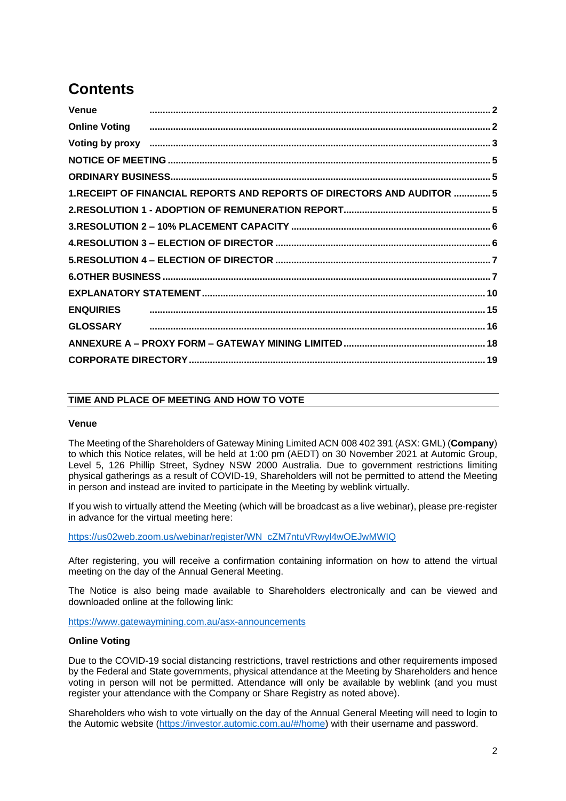## **Contents**

| Online Voting <b>construents and the Contract Contract Constant Construents and Construents and Construents and Construents and Construction and Construction and Construction and Construction and Construction and Constructio</b> |  |
|--------------------------------------------------------------------------------------------------------------------------------------------------------------------------------------------------------------------------------------|--|
| Voting by proxy measurements and all the control of the control of the control of the control of the control of                                                                                                                      |  |
|                                                                                                                                                                                                                                      |  |
|                                                                                                                                                                                                                                      |  |
| 1.RECEIPT OF FINANCIAL REPORTS AND REPORTS OF DIRECTORS AND AUDITOR  5                                                                                                                                                               |  |
|                                                                                                                                                                                                                                      |  |
|                                                                                                                                                                                                                                      |  |
|                                                                                                                                                                                                                                      |  |
|                                                                                                                                                                                                                                      |  |
|                                                                                                                                                                                                                                      |  |
|                                                                                                                                                                                                                                      |  |
|                                                                                                                                                                                                                                      |  |
|                                                                                                                                                                                                                                      |  |
|                                                                                                                                                                                                                                      |  |
|                                                                                                                                                                                                                                      |  |
|                                                                                                                                                                                                                                      |  |

#### **TIME AND PLACE OF MEETING AND HOW TO VOTE**

#### <span id="page-1-0"></span>**Venue**

The Meeting of the Shareholders of Gateway Mining Limited ACN 008 402 391 (ASX: GML) (**Company**) to which this Notice relates, will be held at 1:00 pm (AEDT) on 30 November 2021 at Automic Group, Level 5, 126 Phillip Street, Sydney NSW 2000 Australia. Due to government restrictions limiting physical gatherings as a result of COVID-19, Shareholders will not be permitted to attend the Meeting in person and instead are invited to participate in the Meeting by weblink virtually.

If you wish to virtually attend the Meeting (which will be broadcast as a live webinar), please pre-register in advance for the virtual meeting here:

[https://us02web.zoom.us/webinar/register/WN\\_cZM7ntuVRwyl4wOEJwMWIQ](https://us02web.zoom.us/webinar/register/WN_cZM7ntuVRwyl4wOEJwMWIQ)

After registering, you will receive a confirmation containing information on how to attend the virtual meeting on the day of the Annual General Meeting.

The Notice is also being made available to Shareholders electronically and can be viewed and downloaded online at the following link:

<https://www.gatewaymining.com.au/asx-announcements>

#### <span id="page-1-1"></span>**Online Voting**

Due to the COVID-19 social distancing restrictions, travel restrictions and other requirements imposed by the Federal and State governments, physical attendance at the Meeting by Shareholders and hence voting in person will not be permitted. Attendance will only be available by weblink (and you must register your attendance with the Company or Share Registry as noted above).

Shareholders who wish to vote virtually on the day of the Annual General Meeting will need to login to the Automic website [\(https://investor.automic.com.au/#/home\)](https://investor.automic.com.au/#/home) with their username and password.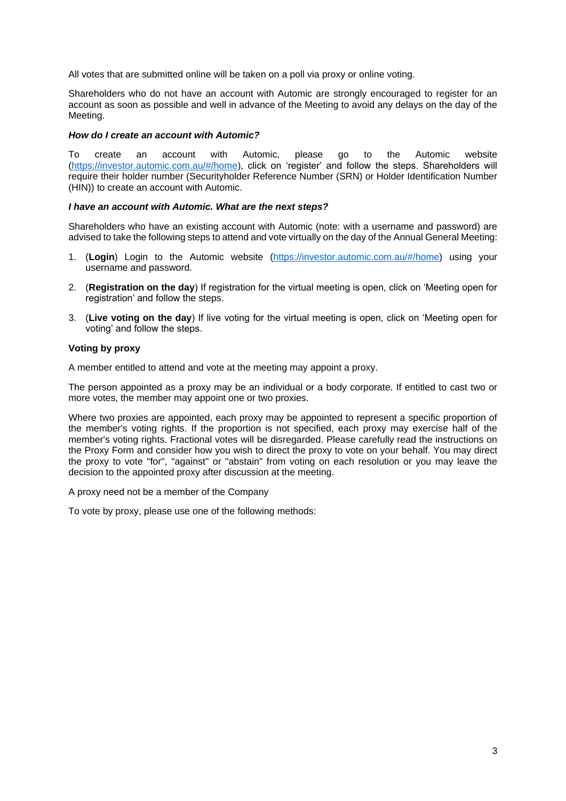All votes that are submitted online will be taken on a poll via proxy or online voting.

Shareholders who do not have an account with Automic are strongly encouraged to register for an account as soon as possible and well in advance of the Meeting to avoid any delays on the day of the Meeting.

#### *How do I create an account with Automic?*

To create an account with Automic, please go to the Automic website [\(https://investor.automic.com.au/#/home\)](https://investor.automic.com.au/#/home), click on 'register' and follow the steps. Shareholders will require their holder number (Securityholder Reference Number (SRN) or Holder Identification Number (HIN)) to create an account with Automic.

#### *I have an account with Automic. What are the next steps?*

Shareholders who have an existing account with Automic (note: with a username and password) are advised to take the following steps to attend and vote virtually on the day of the Annual General Meeting:

- 1. (**Login**) Login to the Automic website [\(https://investor.automic.com.au/#/home\)](https://investor.automic.com.au/#/home) using your username and password.
- 2. (**Registration on the day**) If registration for the virtual meeting is open, click on 'Meeting open for registration' and follow the steps.
- 3. (**Live voting on the day**) If live voting for the virtual meeting is open, click on 'Meeting open for voting' and follow the steps.

#### <span id="page-2-0"></span>**Voting by proxy**

A member entitled to attend and vote at the meeting may appoint a proxy.

The person appointed as a proxy may be an individual or a body corporate. If entitled to cast two or more votes, the member may appoint one or two proxies.

Where two proxies are appointed, each proxy may be appointed to represent a specific proportion of the member's voting rights. If the proportion is not specified, each proxy may exercise half of the member's voting rights. Fractional votes will be disregarded. Please carefully read the instructions on the Proxy Form and consider how you wish to direct the proxy to vote on your behalf. You may direct the proxy to vote "for", "against" or "abstain" from voting on each resolution or you may leave the decision to the appointed proxy after discussion at the meeting.

A proxy need not be a member of the Company

To vote by proxy, please use one of the following methods: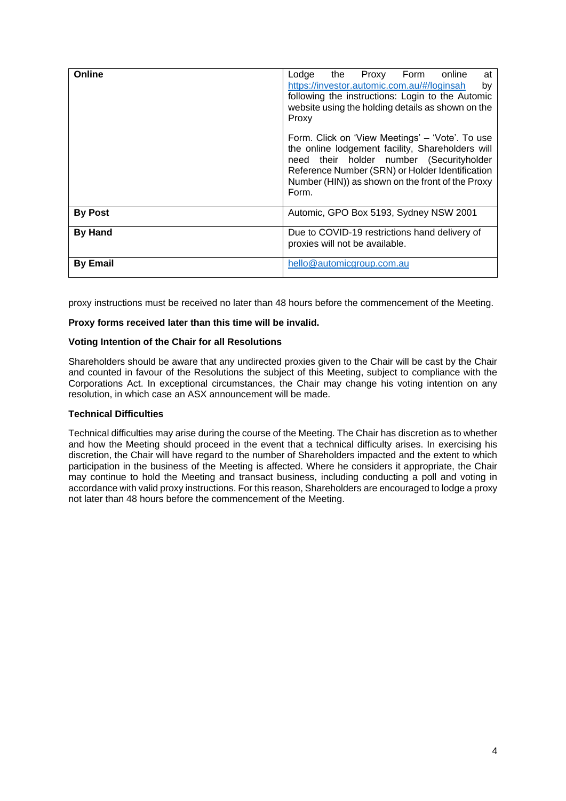| Online          | Lodge<br>the Proxy Form online<br>at<br>https://investor.automic.com.au/#/loginsah<br>by<br>following the instructions: Login to the Automic<br>website using the holding details as shown on the<br>Proxy                                                      |
|-----------------|-----------------------------------------------------------------------------------------------------------------------------------------------------------------------------------------------------------------------------------------------------------------|
|                 | Form. Click on 'View Meetings' – 'Vote'. To use<br>the online lodgement facility, Shareholders will<br>need their holder number (Securityholder<br>Reference Number (SRN) or Holder Identification<br>Number (HIN)) as shown on the front of the Proxy<br>Form. |
| <b>By Post</b>  | Automic, GPO Box 5193, Sydney NSW 2001                                                                                                                                                                                                                          |
| <b>By Hand</b>  | Due to COVID-19 restrictions hand delivery of<br>proxies will not be available.                                                                                                                                                                                 |
| <b>By Email</b> | hello@automicgroup.com.au                                                                                                                                                                                                                                       |

proxy instructions must be received no later than 48 hours before the commencement of the Meeting.

#### **Proxy forms received later than this time will be invalid.**

#### **Voting Intention of the Chair for all Resolutions**

Shareholders should be aware that any undirected proxies given to the Chair will be cast by the Chair and counted in favour of the Resolutions the subject of this Meeting, subject to compliance with the Corporations Act. In exceptional circumstances, the Chair may change his voting intention on any resolution, in which case an ASX announcement will be made.

#### **Technical Difficulties**

Technical difficulties may arise during the course of the Meeting. The Chair has discretion as to whether and how the Meeting should proceed in the event that a technical difficulty arises. In exercising his discretion, the Chair will have regard to the number of Shareholders impacted and the extent to which participation in the business of the Meeting is affected. Where he considers it appropriate, the Chair may continue to hold the Meeting and transact business, including conducting a poll and voting in accordance with valid proxy instructions. For this reason, Shareholders are encouraged to lodge a proxy not later than 48 hours before the commencement of the Meeting.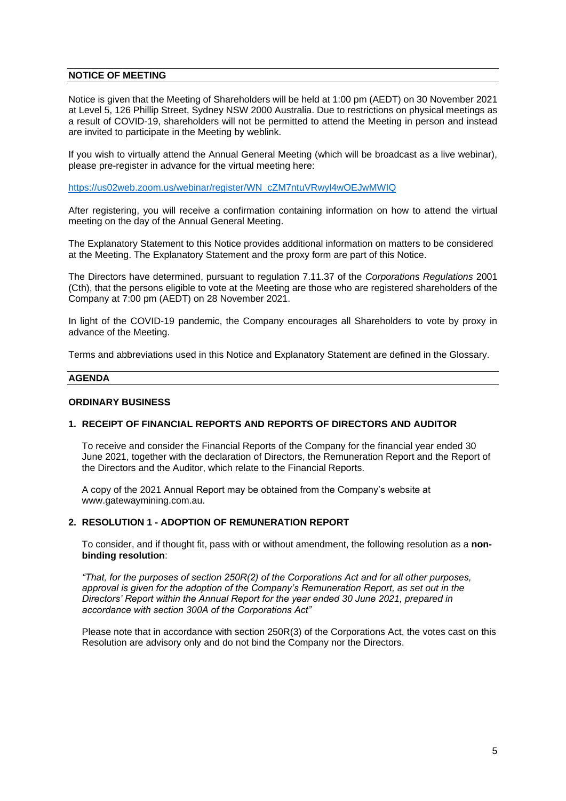#### <span id="page-4-0"></span>**NOTICE OF MEETING**

Notice is given that the Meeting of Shareholders will be held at 1:00 pm (AEDT) on 30 November 2021 at Level 5, 126 Phillip Street, Sydney NSW 2000 Australia. Due to restrictions on physical meetings as a result of COVID-19, shareholders will not be permitted to attend the Meeting in person and instead are invited to participate in the Meeting by weblink.

If you wish to virtually attend the Annual General Meeting (which will be broadcast as a live webinar), please pre-register in advance for the virtual meeting here:

[https://us02web.zoom.us/webinar/register/WN\\_cZM7ntuVRwyl4wOEJwMWIQ](https://us02web.zoom.us/webinar/register/WN_cZM7ntuVRwyl4wOEJwMWIQ)

After registering, you will receive a confirmation containing information on how to attend the virtual meeting on the day of the Annual General Meeting.

The Explanatory Statement to this Notice provides additional information on matters to be considered at the Meeting. The Explanatory Statement and the proxy form are part of this Notice.

The Directors have determined, pursuant to regulation 7.11.37 of the *Corporations Regulations* 2001 (Cth), that the persons eligible to vote at the Meeting are those who are registered shareholders of the Company at 7:00 pm (AEDT) on 28 November 2021.

In light of the COVID-19 pandemic, the Company encourages all Shareholders to vote by proxy in advance of the Meeting.

Terms and abbreviations used in this Notice and Explanatory Statement are defined in the Glossary.

#### **AGENDA**

#### <span id="page-4-1"></span>**ORDINARY BUSINESS**

#### <span id="page-4-2"></span>**1. RECEIPT OF FINANCIAL REPORTS AND REPORTS OF DIRECTORS AND AUDITOR**

To receive and consider the Financial Reports of the Company for the financial year ended 30 June 2021, together with the declaration of Directors, the Remuneration Report and the Report of the Directors and the Auditor, which relate to the Financial Reports.

A copy of the 2021 Annual Report may be obtained from the Company's website at www.gatewaymining.com.au.

#### <span id="page-4-3"></span>**2. RESOLUTION 1 - ADOPTION OF REMUNERATION REPORT**

To consider, and if thought fit, pass with or without amendment, the following resolution as a **nonbinding resolution**:

*"That, for the purposes of section 250R(2) of the Corporations Act and for all other purposes, approval is given for the adoption of the Company's Remuneration Report, as set out in the Directors' Report within the Annual Report for the year ended 30 June 2021, prepared in accordance with section 300A of the Corporations Act"*

Please note that in accordance with section 250R(3) of the Corporations Act, the votes cast on this Resolution are advisory only and do not bind the Company nor the Directors.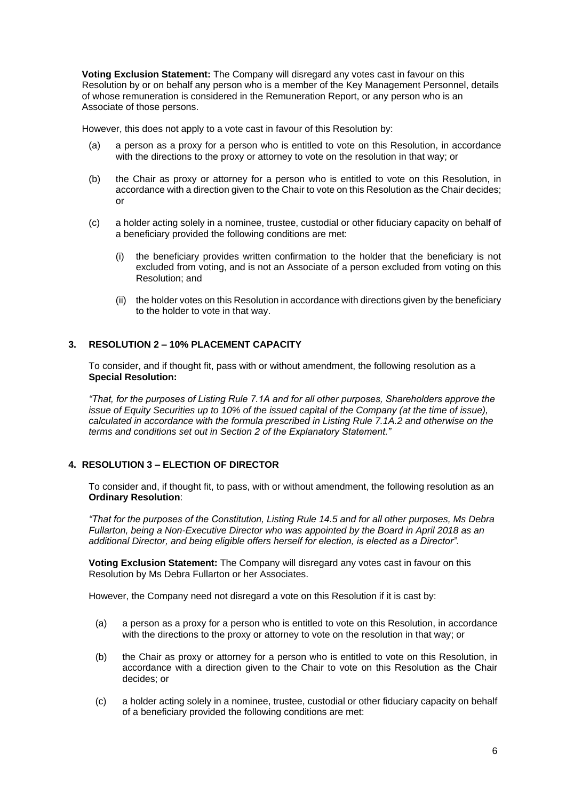**Voting Exclusion Statement:** The Company will disregard any votes cast in favour on this Resolution by or on behalf any person who is a member of the Key Management Personnel, details of whose remuneration is considered in the Remuneration Report, or any person who is an Associate of those persons.

However, this does not apply to a vote cast in favour of this Resolution by:

- (a) a person as a proxy for a person who is entitled to vote on this Resolution, in accordance with the directions to the proxy or attorney to vote on the resolution in that way; or
- (b) the Chair as proxy or attorney for a person who is entitled to vote on this Resolution, in accordance with a direction given to the Chair to vote on this Resolution as the Chair decides; or
- (c) a holder acting solely in a nominee, trustee, custodial or other fiduciary capacity on behalf of a beneficiary provided the following conditions are met:
	- (i) the beneficiary provides written confirmation to the holder that the beneficiary is not excluded from voting, and is not an Associate of a person excluded from voting on this Resolution; and
	- (ii) the holder votes on this Resolution in accordance with directions given by the beneficiary to the holder to vote in that way.

#### <span id="page-5-0"></span>**3. RESOLUTION 2 – 10% PLACEMENT CAPACITY**

To consider, and if thought fit, pass with or without amendment, the following resolution as a **Special Resolution:** 

*"That, for the purposes of Listing Rule 7.1A and for all other purposes, Shareholders approve the issue of Equity Securities up to 10% of the issued capital of the Company (at the time of issue), calculated in accordance with the formula prescribed in Listing Rule 7.1A.2 and otherwise on the terms and conditions set out in Section 2 of the Explanatory Statement."*

## <span id="page-5-1"></span>**4. RESOLUTION 3 – ELECTION OF DIRECTOR**

To consider and, if thought fit, to pass, with or without amendment, the following resolution as an **Ordinary Resolution**:

*"That for the purposes of the Constitution, Listing Rule 14.5 and for all other purposes, Ms Debra Fullarton, being a Non-Executive Director who was appointed by the Board in April 2018 as an additional Director, and being eligible offers herself for election, is elected as a Director".* 

**Voting Exclusion Statement:** The Company will disregard any votes cast in favour on this Resolution by Ms Debra Fullarton or her Associates.

However, the Company need not disregard a vote on this Resolution if it is cast by:

- (a) a person as a proxy for a person who is entitled to vote on this Resolution, in accordance with the directions to the proxy or attorney to vote on the resolution in that way; or
- (b) the Chair as proxy or attorney for a person who is entitled to vote on this Resolution, in accordance with a direction given to the Chair to vote on this Resolution as the Chair decides; or
- (c) a holder acting solely in a nominee, trustee, custodial or other fiduciary capacity on behalf of a beneficiary provided the following conditions are met: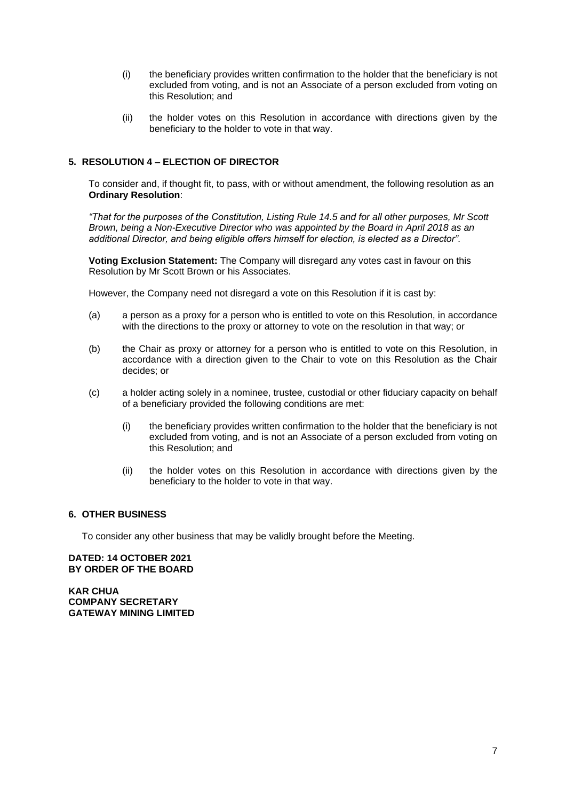- (i) the beneficiary provides written confirmation to the holder that the beneficiary is not excluded from voting, and is not an Associate of a person excluded from voting on this Resolution; and
- (ii) the holder votes on this Resolution in accordance with directions given by the beneficiary to the holder to vote in that way.

## <span id="page-6-0"></span>**5. RESOLUTION 4 – ELECTION OF DIRECTOR**

To consider and, if thought fit, to pass, with or without amendment, the following resolution as an **Ordinary Resolution**:

*"That for the purposes of the Constitution, Listing Rule 14.5 and for all other purposes, Mr Scott Brown, being a Non-Executive Director who was appointed by the Board in April 2018 as an additional Director, and being eligible offers himself for election, is elected as a Director".* 

**Voting Exclusion Statement:** The Company will disregard any votes cast in favour on this Resolution by Mr Scott Brown or his Associates.

However, the Company need not disregard a vote on this Resolution if it is cast by:

- (a) a person as a proxy for a person who is entitled to vote on this Resolution, in accordance with the directions to the proxy or attorney to vote on the resolution in that way; or
- (b) the Chair as proxy or attorney for a person who is entitled to vote on this Resolution, in accordance with a direction given to the Chair to vote on this Resolution as the Chair decides; or
- (c) a holder acting solely in a nominee, trustee, custodial or other fiduciary capacity on behalf of a beneficiary provided the following conditions are met:
	- (i) the beneficiary provides written confirmation to the holder that the beneficiary is not excluded from voting, and is not an Associate of a person excluded from voting on this Resolution; and
	- (ii) the holder votes on this Resolution in accordance with directions given by the beneficiary to the holder to vote in that way.

#### <span id="page-6-1"></span>**6. OTHER BUSINESS**

To consider any other business that may be validly brought before the Meeting.

**DATED: 14 OCTOBER 2021 BY ORDER OF THE BOARD**

**KAR CHUA COMPANY SECRETARY GATEWAY MINING LIMITED**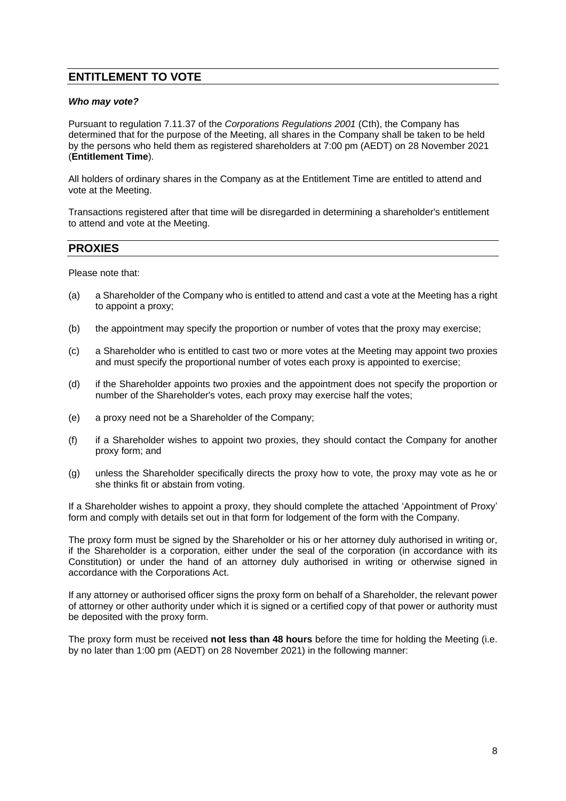## **ENTITLEMENT TO VOTE**

#### *Who may vote?*

Pursuant to regulation 7.11.37 of the *Corporations Regulations 2001* (Cth), the Company has determined that for the purpose of the Meeting, all shares in the Company shall be taken to be held by the persons who held them as registered shareholders at 7:00 pm (AEDT) on 28 November 2021 (**Entitlement Time**).

All holders of ordinary shares in the Company as at the Entitlement Time are entitled to attend and vote at the Meeting.

Transactions registered after that time will be disregarded in determining a shareholder's entitlement to attend and vote at the Meeting.

## **PROXIES**

Please note that:

- (a) a Shareholder of the Company who is entitled to attend and cast a vote at the Meeting has a right to appoint a proxy;
- (b) the appointment may specify the proportion or number of votes that the proxy may exercise;
- (c) a Shareholder who is entitled to cast two or more votes at the Meeting may appoint two proxies and must specify the proportional number of votes each proxy is appointed to exercise;
- (d) if the Shareholder appoints two proxies and the appointment does not specify the proportion or number of the Shareholder's votes, each proxy may exercise half the votes;
- (e) a proxy need not be a Shareholder of the Company;
- (f) if a Shareholder wishes to appoint two proxies, they should contact the Company for another proxy form; and
- (g) unless the Shareholder specifically directs the proxy how to vote, the proxy may vote as he or she thinks fit or abstain from voting.

If a Shareholder wishes to appoint a proxy, they should complete the attached 'Appointment of Proxy' form and comply with details set out in that form for lodgement of the form with the Company.

The proxy form must be signed by the Shareholder or his or her attorney duly authorised in writing or, if the Shareholder is a corporation, either under the seal of the corporation (in accordance with its Constitution) or under the hand of an attorney duly authorised in writing or otherwise signed in accordance with the Corporations Act.

If any attorney or authorised officer signs the proxy form on behalf of a Shareholder, the relevant power of attorney or other authority under which it is signed or a certified copy of that power or authority must be deposited with the proxy form.

The proxy form must be received **not less than 48 hours** before the time for holding the Meeting (i.e. by no later than 1:00 pm (AEDT) on 28 November 2021) in the following manner: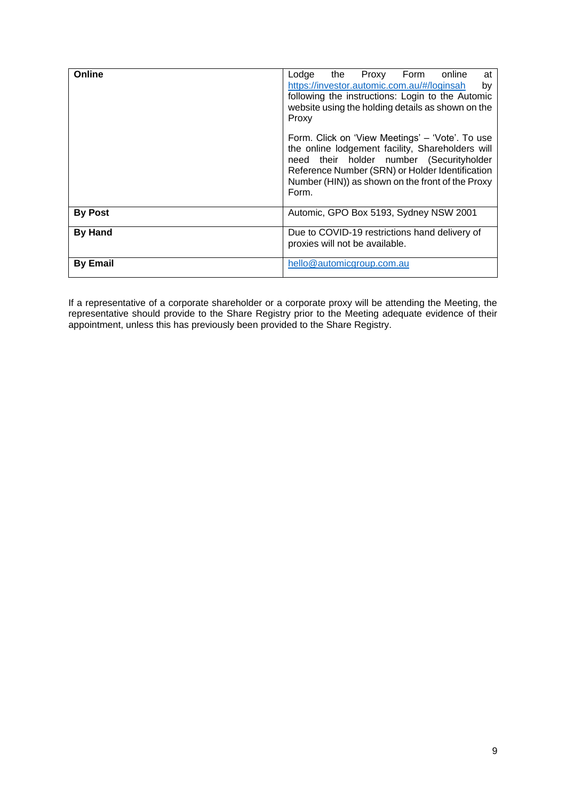| Online          | Lodge the Proxy Form online<br>at<br>https://investor.automic.com.au/#/loginsah<br>by<br>following the instructions: Login to the Automic<br>website using the holding details as shown on the<br>Proxy<br>Form. Click on 'View Meetings' – 'Vote'. To use<br>the online lodgement facility, Shareholders will<br>need their holder number (Securityholder |
|-----------------|------------------------------------------------------------------------------------------------------------------------------------------------------------------------------------------------------------------------------------------------------------------------------------------------------------------------------------------------------------|
|                 | Reference Number (SRN) or Holder Identification<br>Number (HIN)) as shown on the front of the Proxy<br>Form.                                                                                                                                                                                                                                               |
| <b>By Post</b>  | Automic, GPO Box 5193, Sydney NSW 2001                                                                                                                                                                                                                                                                                                                     |
| <b>By Hand</b>  | Due to COVID-19 restrictions hand delivery of<br>proxies will not be available.                                                                                                                                                                                                                                                                            |
| <b>By Email</b> | hello@automicgroup.com.au                                                                                                                                                                                                                                                                                                                                  |

If a representative of a corporate shareholder or a corporate proxy will be attending the Meeting, the representative should provide to the Share Registry prior to the Meeting adequate evidence of their appointment, unless this has previously been provided to the Share Registry.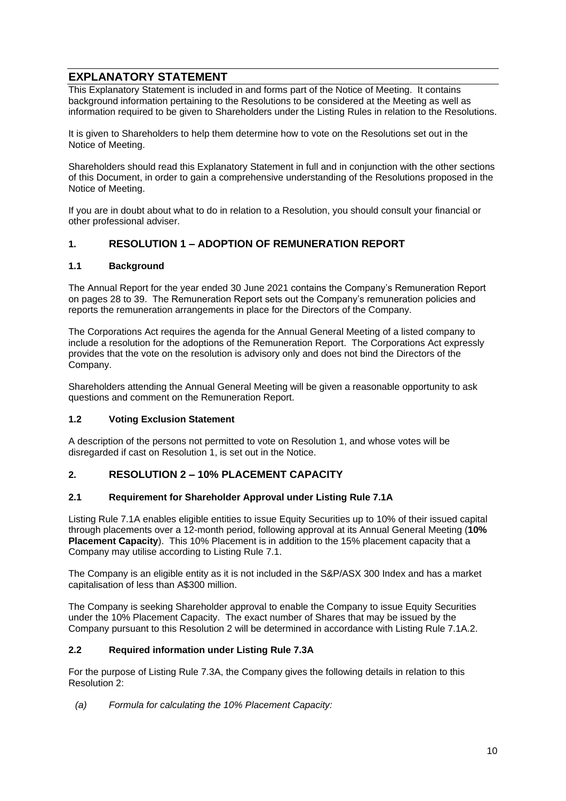## <span id="page-9-0"></span>**EXPLANATORY STATEMENT**

This Explanatory Statement is included in and forms part of the Notice of Meeting. It contains background information pertaining to the Resolutions to be considered at the Meeting as well as information required to be given to Shareholders under the Listing Rules in relation to the Resolutions.

It is given to Shareholders to help them determine how to vote on the Resolutions set out in the Notice of Meeting.

Shareholders should read this Explanatory Statement in full and in conjunction with the other sections of this Document, in order to gain a comprehensive understanding of the Resolutions proposed in the Notice of Meeting.

If you are in doubt about what to do in relation to a Resolution, you should consult your financial or other professional adviser.

## **1. RESOLUTION 1 – ADOPTION OF REMUNERATION REPORT**

#### **1.1 Background**

The Annual Report for the year ended 30 June 2021 contains the Company's Remuneration Report on pages 28 to 39. The Remuneration Report sets out the Company's remuneration policies and reports the remuneration arrangements in place for the Directors of the Company.

The Corporations Act requires the agenda for the Annual General Meeting of a listed company to include a resolution for the adoptions of the Remuneration Report. The Corporations Act expressly provides that the vote on the resolution is advisory only and does not bind the Directors of the Company.

Shareholders attending the Annual General Meeting will be given a reasonable opportunity to ask questions and comment on the Remuneration Report.

#### **1.2 Voting Exclusion Statement**

A description of the persons not permitted to vote on Resolution 1, and whose votes will be disregarded if cast on Resolution 1, is set out in the Notice.

#### **2. RESOLUTION 2 – 10% PLACEMENT CAPACITY**

#### **2.1 Requirement for Shareholder Approval under Listing Rule 7.1A**

Listing Rule 7.1A enables eligible entities to issue Equity Securities up to 10% of their issued capital through placements over a 12-month period, following approval at its Annual General Meeting (**10% Placement Capacity**). This 10% Placement is in addition to the 15% placement capacity that a Company may utilise according to Listing Rule 7.1.

The Company is an eligible entity as it is not included in the S&P/ASX 300 Index and has a market capitalisation of less than A\$300 million.

The Company is seeking Shareholder approval to enable the Company to issue Equity Securities under the 10% Placement Capacity. The exact number of Shares that may be issued by the Company pursuant to this Resolution 2 will be determined in accordance with Listing Rule 7.1A.2.

#### **2.2 Required information under Listing Rule 7.3A**

For the purpose of Listing Rule 7.3A, the Company gives the following details in relation to this Resolution 2:

*(a) Formula for calculating the 10% Placement Capacity:*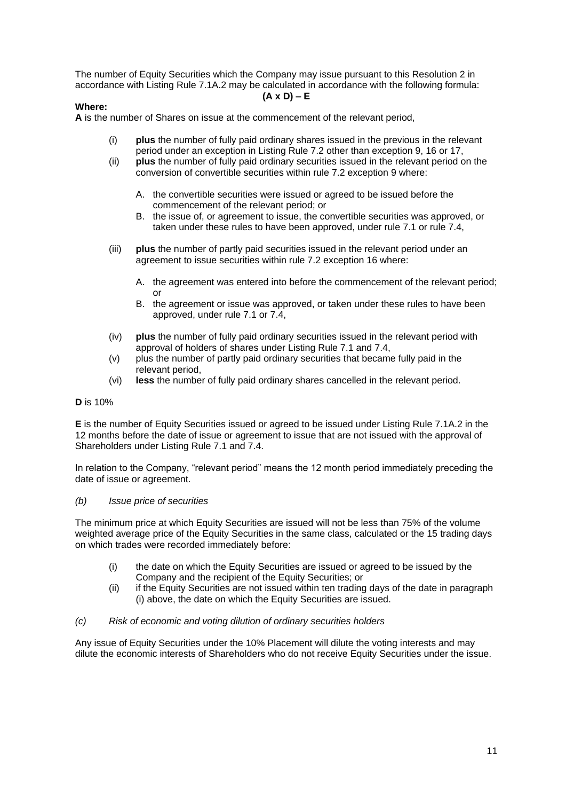The number of Equity Securities which the Company may issue pursuant to this Resolution 2 in accordance with Listing Rule 7.1A.2 may be calculated in accordance with the following formula:

#### **(A x D) – E**

#### **Where:**

**A** is the number of Shares on issue at the commencement of the relevant period,

- (i) **plus** the number of fully paid ordinary shares issued in the previous in the relevant period under an exception in Listing Rule 7.2 other than exception 9, 16 or 17,
- (ii) **plus** the number of fully paid ordinary securities issued in the relevant period on the conversion of convertible securities within rule 7.2 exception 9 where:
	- A. the convertible securities were issued or agreed to be issued before the commencement of the relevant period; or
	- B. the issue of, or agreement to issue, the convertible securities was approved, or taken under these rules to have been approved, under rule 7.1 or rule 7.4,
- (iii) **plus** the number of partly paid securities issued in the relevant period under an agreement to issue securities within rule 7.2 exception 16 where:
	- A. the agreement was entered into before the commencement of the relevant period; or
	- B. the agreement or issue was approved, or taken under these rules to have been approved, under rule 7.1 or 7.4,
- (iv) **plus** the number of fully paid ordinary securities issued in the relevant period with approval of holders of shares under Listing Rule 7.1 and 7.4,
- (v) plus the number of partly paid ordinary securities that became fully paid in the relevant period,
- (vi) **less** the number of fully paid ordinary shares cancelled in the relevant period.

#### **D** is 10%

**E** is the number of Equity Securities issued or agreed to be issued under Listing Rule 7.1A.2 in the 12 months before the date of issue or agreement to issue that are not issued with the approval of Shareholders under Listing Rule 7.1 and 7.4.

In relation to the Company, "relevant period" means the 12 month period immediately preceding the date of issue or agreement.

#### *(b) Issue price of securities*

The minimum price at which Equity Securities are issued will not be less than 75% of the volume weighted average price of the Equity Securities in the same class, calculated or the 15 trading days on which trades were recorded immediately before:

- (i) the date on which the Equity Securities are issued or agreed to be issued by the Company and the recipient of the Equity Securities; or
- (ii) if the Equity Securities are not issued within ten trading days of the date in paragraph (i) above, the date on which the Equity Securities are issued.

#### *(c) Risk of economic and voting dilution of ordinary securities holders*

Any issue of Equity Securities under the 10% Placement will dilute the voting interests and may dilute the economic interests of Shareholders who do not receive Equity Securities under the issue.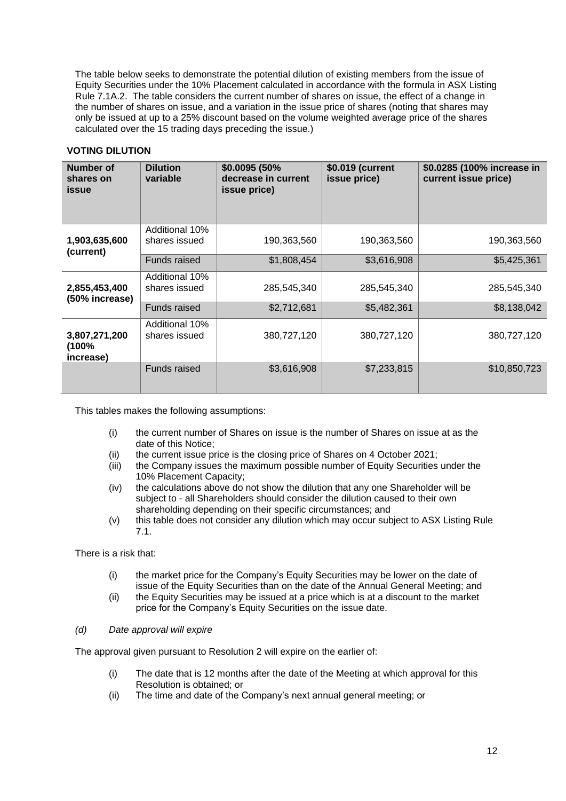The table below seeks to demonstrate the potential dilution of existing members from the issue of Equity Securities under the 10% Placement calculated in accordance with the formula in ASX Listing Rule 7.1A.2. The table considers the current number of shares on issue, the effect of a change in the number of shares on issue, and a variation in the issue price of shares (noting that shares may only be issued at up to a 25% discount based on the volume weighted average price of the shares calculated over the 15 trading days preceding the issue.)

## **VOTING DILUTION**

| Number of<br>shares on<br><b>issue</b> | <b>Dilution</b><br>variable     | \$0.0095 (50%<br>decrease in current<br>issue price) | \$0.019 (current<br>issue price) | \$0.0285 (100% increase in<br>current issue price) |
|----------------------------------------|---------------------------------|------------------------------------------------------|----------------------------------|----------------------------------------------------|
| 1,903,635,600<br>(current)             | Additional 10%<br>shares issued | 190,363,560                                          | 190,363,560                      | 190,363,560                                        |
|                                        | Funds raised                    | \$1,808,454                                          | \$3,616,908                      | \$5,425,361                                        |
| 2,855,453,400<br>(50% increase)        | Additional 10%<br>shares issued | 285,545,340                                          | 285,545,340                      | 285,545,340                                        |
|                                        | Funds raised                    | \$2,712,681                                          | \$5,482,361                      | \$8,138,042                                        |
| 3,807,271,200<br>(100%<br>increase)    | Additional 10%<br>shares issued | 380,727,120                                          | 380,727,120                      | 380,727,120                                        |
|                                        | <b>Funds raised</b>             | \$3,616,908                                          | \$7,233,815                      | \$10,850,723                                       |

This tables makes the following assumptions:

- (i) the current number of Shares on issue is the number of Shares on issue at as the date of this Notice;
- (ii) the current issue price is the closing price of Shares on 4 October 2021;
- (iii) the Company issues the maximum possible number of Equity Securities under the 10% Placement Capacity;
- (iv) the calculations above do not show the dilution that any one Shareholder will be subject to - all Shareholders should consider the dilution caused to their own shareholding depending on their specific circumstances; and
- (v) this table does not consider any dilution which may occur subject to ASX Listing Rule 7.1.

There is a risk that:

- (i) the market price for the Company's Equity Securities may be lower on the date of issue of the Equity Securities than on the date of the Annual General Meeting; and
- (ii) the Equity Securities may be issued at a price which is at a discount to the market price for the Company's Equity Securities on the issue date.

#### *(d) Date approval will expire*

The approval given pursuant to Resolution 2 will expire on the earlier of:

- (i) The date that is 12 months after the date of the Meeting at which approval for this Resolution is obtained; or
- (ii) The time and date of the Company's next annual general meeting; or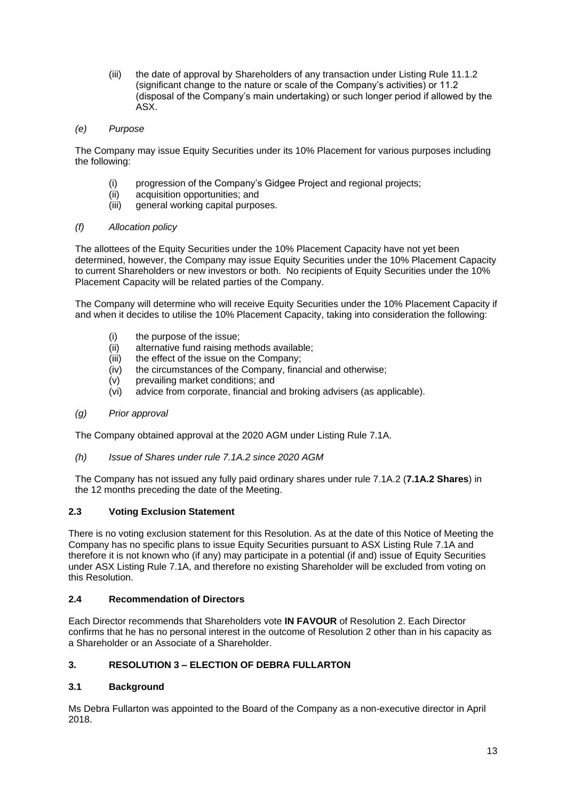- (iii) the date of approval by Shareholders of any transaction under Listing Rule 11.1.2 (significant change to the nature or scale of the Company's activities) or 11.2 (disposal of the Company's main undertaking) or such longer period if allowed by the ASX.
- *(e) Purpose*

The Company may issue Equity Securities under its 10% Placement for various purposes including the following:

- (i) progression of the Company's Gidgee Project and regional projects;
- (ii) acquisition opportunities; and
- (iii) general working capital purposes.
- *(f) Allocation policy*

The allottees of the Equity Securities under the 10% Placement Capacity have not yet been determined, however, the Company may issue Equity Securities under the 10% Placement Capacity to current Shareholders or new investors or both. No recipients of Equity Securities under the 10% Placement Capacity will be related parties of the Company.

The Company will determine who will receive Equity Securities under the 10% Placement Capacity if and when it decides to utilise the 10% Placement Capacity, taking into consideration the following:

- (i) the purpose of the issue;
- (ii) alternative fund raising methods available;
- $(iii)$  the effect of the issue on the Company:
- (iv) the circumstances of the Company, financial and otherwise;
- (v) prevailing market conditions; and
- (vi) advice from corporate, financial and broking advisers (as applicable).
- *(g) Prior approval*

The Company obtained approval at the 2020 AGM under Listing Rule 7.1A.

*(h) Issue of Shares under rule 7.1A.2 since 2020 AGM* 

The Company has not issued any fully paid ordinary shares under rule 7.1A.2 (**7.1A.2 Shares**) in the 12 months preceding the date of the Meeting.

#### **2.3 Voting Exclusion Statement**

There is no voting exclusion statement for this Resolution. As at the date of this Notice of Meeting the Company has no specific plans to issue Equity Securities pursuant to ASX Listing Rule 7.1A and therefore it is not known who (if any) may participate in a potential (if and) issue of Equity Securities under ASX Listing Rule 7.1A, and therefore no existing Shareholder will be excluded from voting on this Resolution.

## **2.4 Recommendation of Directors**

Each Director recommends that Shareholders vote **IN FAVOUR** of Resolution 2. Each Director confirms that he has no personal interest in the outcome of Resolution 2 other than in his capacity as a Shareholder or an Associate of a Shareholder.

## **3. RESOLUTION 3 – ELECTION OF DEBRA FULLARTON**

#### **3.1 Background**

Ms Debra Fullarton was appointed to the Board of the Company as a non-executive director in April 2018.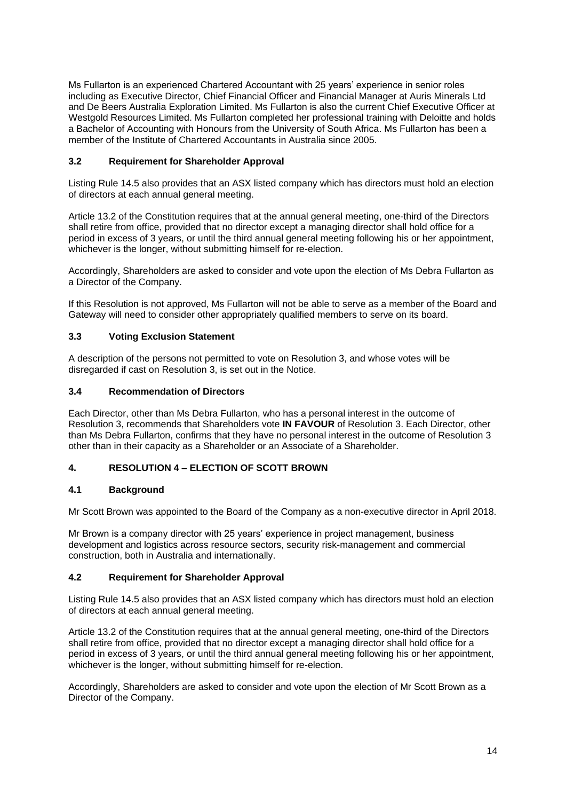Ms Fullarton is an experienced Chartered Accountant with 25 years' experience in senior roles including as Executive Director, Chief Financial Officer and Financial Manager at Auris Minerals Ltd and De Beers Australia Exploration Limited. Ms Fullarton is also the current Chief Executive Officer at Westgold Resources Limited. Ms Fullarton completed her professional training with Deloitte and holds a Bachelor of Accounting with Honours from the University of South Africa. Ms Fullarton has been a member of the Institute of Chartered Accountants in Australia since 2005.

## **3.2 Requirement for Shareholder Approval**

Listing Rule 14.5 also provides that an ASX listed company which has directors must hold an election of directors at each annual general meeting.

Article 13.2 of the Constitution requires that at the annual general meeting, one-third of the Directors shall retire from office, provided that no director except a managing director shall hold office for a period in excess of 3 years, or until the third annual general meeting following his or her appointment, whichever is the longer, without submitting himself for re-election.

Accordingly, Shareholders are asked to consider and vote upon the election of Ms Debra Fullarton as a Director of the Company.

If this Resolution is not approved, Ms Fullarton will not be able to serve as a member of the Board and Gateway will need to consider other appropriately qualified members to serve on its board.

## **3.3 Voting Exclusion Statement**

A description of the persons not permitted to vote on Resolution 3, and whose votes will be disregarded if cast on Resolution 3, is set out in the Notice.

#### **3.4 Recommendation of Directors**

Each Director, other than Ms Debra Fullarton, who has a personal interest in the outcome of Resolution 3, recommends that Shareholders vote **IN FAVOUR** of Resolution 3. Each Director, other than Ms Debra Fullarton, confirms that they have no personal interest in the outcome of Resolution 3 other than in their capacity as a Shareholder or an Associate of a Shareholder.

#### **4. RESOLUTION 4 – ELECTION OF SCOTT BROWN**

#### **4.1 Background**

Mr Scott Brown was appointed to the Board of the Company as a non-executive director in April 2018.

Mr Brown is a company director with 25 years' experience in project management, business development and logistics across resource sectors, security risk-management and commercial construction, both in Australia and internationally.

#### **4.2 Requirement for Shareholder Approval**

Listing Rule 14.5 also provides that an ASX listed company which has directors must hold an election of directors at each annual general meeting.

Article 13.2 of the Constitution requires that at the annual general meeting, one-third of the Directors shall retire from office, provided that no director except a managing director shall hold office for a period in excess of 3 years, or until the third annual general meeting following his or her appointment, whichever is the longer, without submitting himself for re-election.

Accordingly, Shareholders are asked to consider and vote upon the election of Mr Scott Brown as a Director of the Company.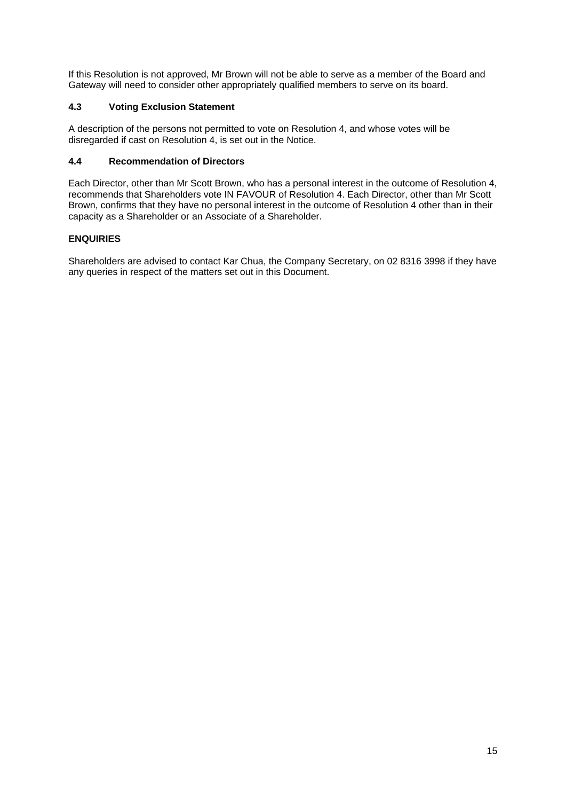If this Resolution is not approved, Mr Brown will not be able to serve as a member of the Board and Gateway will need to consider other appropriately qualified members to serve on its board.

## **4.3 Voting Exclusion Statement**

A description of the persons not permitted to vote on Resolution 4, and whose votes will be disregarded if cast on Resolution 4, is set out in the Notice.

## **4.4 Recommendation of Directors**

Each Director, other than Mr Scott Brown, who has a personal interest in the outcome of Resolution 4, recommends that Shareholders vote IN FAVOUR of Resolution 4. Each Director, other than Mr Scott Brown, confirms that they have no personal interest in the outcome of Resolution 4 other than in their capacity as a Shareholder or an Associate of a Shareholder.

## <span id="page-14-0"></span>**ENQUIRIES**

Shareholders are advised to contact Kar Chua, the Company Secretary, on 02 8316 3998 if they have any queries in respect of the matters set out in this Document.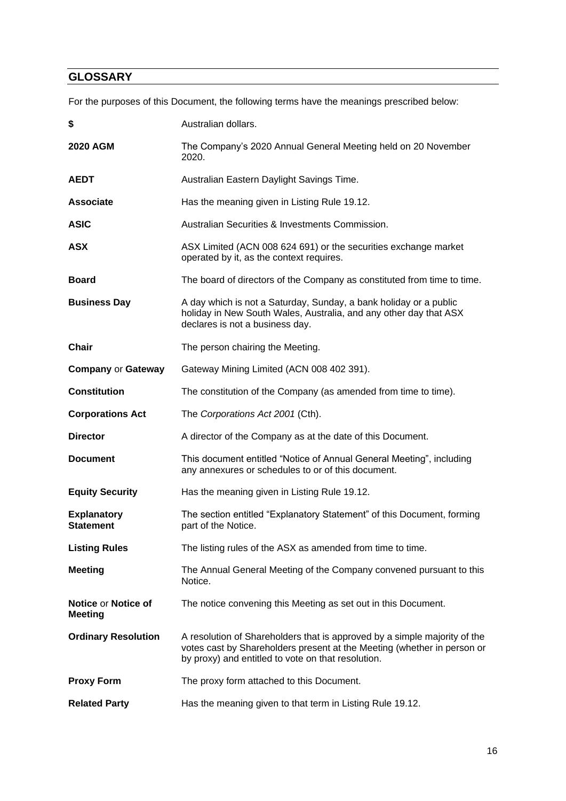## <span id="page-15-0"></span>**GLOSSARY**

For the purposes of this Document, the following terms have the meanings prescribed below:

| \$                                     | Australian dollars.                                                                                                                                                                                        |
|----------------------------------------|------------------------------------------------------------------------------------------------------------------------------------------------------------------------------------------------------------|
| <b>2020 AGM</b>                        | The Company's 2020 Annual General Meeting held on 20 November<br>2020.                                                                                                                                     |
| <b>AEDT</b>                            | Australian Eastern Daylight Savings Time.                                                                                                                                                                  |
| <b>Associate</b>                       | Has the meaning given in Listing Rule 19.12.                                                                                                                                                               |
| <b>ASIC</b>                            | Australian Securities & Investments Commission.                                                                                                                                                            |
| <b>ASX</b>                             | ASX Limited (ACN 008 624 691) or the securities exchange market<br>operated by it, as the context requires.                                                                                                |
| <b>Board</b>                           | The board of directors of the Company as constituted from time to time.                                                                                                                                    |
| <b>Business Day</b>                    | A day which is not a Saturday, Sunday, a bank holiday or a public<br>holiday in New South Wales, Australia, and any other day that ASX<br>declares is not a business day.                                  |
| <b>Chair</b>                           | The person chairing the Meeting.                                                                                                                                                                           |
| <b>Company or Gateway</b>              | Gateway Mining Limited (ACN 008 402 391).                                                                                                                                                                  |
| <b>Constitution</b>                    | The constitution of the Company (as amended from time to time).                                                                                                                                            |
| <b>Corporations Act</b>                | The Corporations Act 2001 (Cth).                                                                                                                                                                           |
| <b>Director</b>                        | A director of the Company as at the date of this Document.                                                                                                                                                 |
| <b>Document</b>                        | This document entitled "Notice of Annual General Meeting", including<br>any annexures or schedules to or of this document.                                                                                 |
| <b>Equity Security</b>                 | Has the meaning given in Listing Rule 19.12.                                                                                                                                                               |
| <b>Explanatory</b><br><b>Statement</b> | The section entitled "Explanatory Statement" of this Document, forming<br>part of the Notice.                                                                                                              |
| <b>Listing Rules</b>                   | The listing rules of the ASX as amended from time to time.                                                                                                                                                 |
| <b>Meeting</b>                         | The Annual General Meeting of the Company convened pursuant to this<br>Notice.                                                                                                                             |
| Notice or Notice of<br><b>Meeting</b>  | The notice convening this Meeting as set out in this Document.                                                                                                                                             |
| <b>Ordinary Resolution</b>             | A resolution of Shareholders that is approved by a simple majority of the<br>votes cast by Shareholders present at the Meeting (whether in person or<br>by proxy) and entitled to vote on that resolution. |
| <b>Proxy Form</b>                      | The proxy form attached to this Document.                                                                                                                                                                  |
| <b>Related Party</b>                   | Has the meaning given to that term in Listing Rule 19.12.                                                                                                                                                  |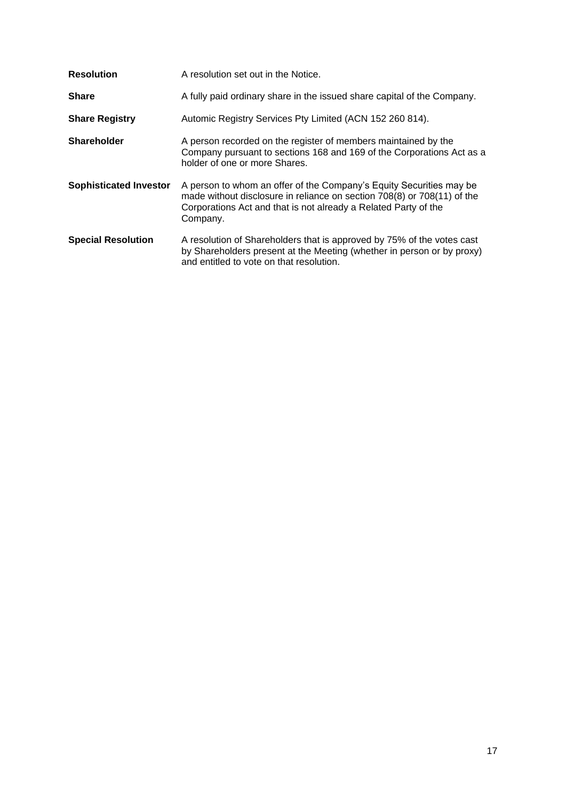| <b>Resolution</b>             | A resolution set out in the Notice.                                                                                                                                                                                           |
|-------------------------------|-------------------------------------------------------------------------------------------------------------------------------------------------------------------------------------------------------------------------------|
| <b>Share</b>                  | A fully paid ordinary share in the issued share capital of the Company.                                                                                                                                                       |
| <b>Share Registry</b>         | Automic Registry Services Pty Limited (ACN 152 260 814).                                                                                                                                                                      |
| <b>Shareholder</b>            | A person recorded on the register of members maintained by the<br>Company pursuant to sections 168 and 169 of the Corporations Act as a<br>holder of one or more Shares.                                                      |
| <b>Sophisticated Investor</b> | A person to whom an offer of the Company's Equity Securities may be<br>made without disclosure in reliance on section 708(8) or 708(11) of the<br>Corporations Act and that is not already a Related Party of the<br>Company. |
| <b>Special Resolution</b>     | A resolution of Shareholders that is approved by 75% of the votes cast<br>by Shareholders present at the Meeting (whether in person or by proxy)<br>and entitled to vote on that resolution.                                  |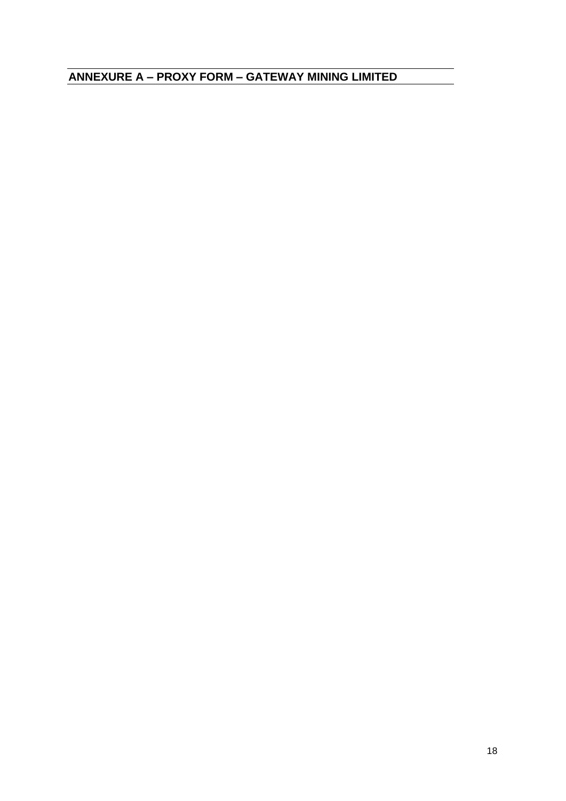<span id="page-17-0"></span>**ANNEXURE A – PROXY FORM – GATEWAY MINING LIMITED**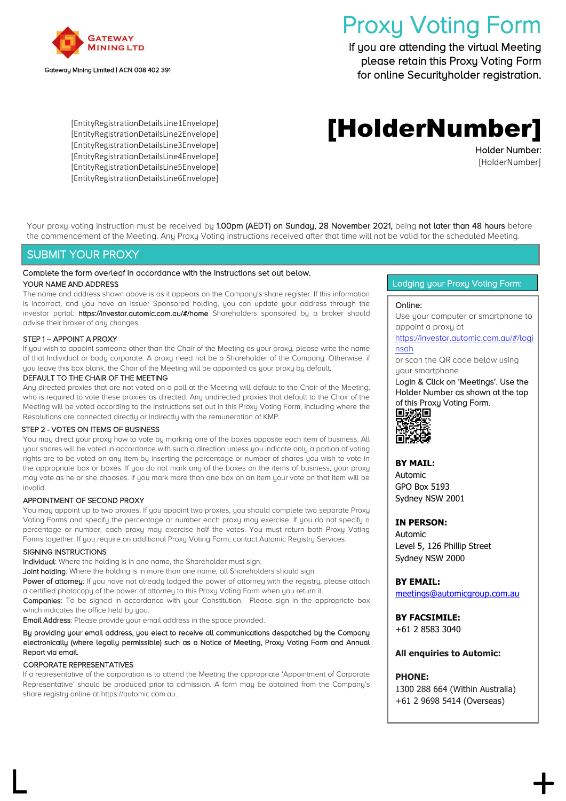

#### Gateway Mining Limited | ACN 008 402 391

# Proxy Voting Form

If you are attending the virtual Meeting please retain this Proxy Voting Form for online Securityholder registration.

[EntityRegistrationDetailsLine1Envelope] [EntityRegistrationDetailsLine2Envelope] [EntityRegistrationDetailsLine3Envelope] [EntityRegistrationDetailsLine4Envelope] [EntityRegistrationDetailsLine5Envelope] [EntityRegistrationDetailsLine6Envelope]

## [HolderNumber]

Holder Number: [HolderNumber]

Your proxy voting instruction must be received by 1.00pm (AEDT) on Sunday, 28 November 2021, being not later than 48 hours before the commencement of the Meeting. Any Proxy Voting instructions received after that time will not be valid for the scheduled Meeting.

## SUBMIT YOUR PROXY

#### Complete the form overleaf in accordance with the instructions set out below. YOUR NAME AND ADDRESS

The name and address shown above is as it appears on the Company's share register. If this information is incorrect, and you have an Issuer Sponsored holding, you can update your address through the investor portal: https://investor.automic.com.au/#/home Shareholders sponsored by a broker should advise their broker of any changes.

#### STEP 1 – APPOINT A PROXY

If you wish to appoint someone other than the Chair of the Meeting as your proxy, please write the name of that Individual or body corporate. A proxy need not be a Shareholder of the Company. Otherwise, if you leave this box blank, the Chair of the Meeting will be appointed as your proxy by default.

#### DEFAULT TO THE CHAIR OF THE MEETING

Any directed proxies that are not voted on a poll at the Meeting will default to the Chair of the Meeting, who is required to vote these proxies as directed. Any undirected proxies that default to the Chair of the Meeting will be voted according to the instructions set out in this Proxy Voting Form, including where the Resolutions are connected directly or indirectly with the remuneration of KMP.

#### STEP 2 - VOTES ON ITEMS OF BUSINESS

You may direct your proxy how to vote by marking one of the boxes opposite each item of business. All your shares will be voted in accordance with such a direction unless you indicate only a portion of voting rights are to be voted on any item by inserting the percentage or number of shares you wish to vote in the appropriate box or boxes. If you do not mark any of the boxes on the items of business, your proxy may vote as he or she chooses. If you mark more than one box on an item your vote on that item will be invalid.

#### APPOINTMENT OF SECOND PROXY

You may appoint up to two proxies. If you appoint two proxies, you should complete two separate Proxy Voting Forms and specify the percentage or number each proxy may exercise. If you do not specify a percentage or number, each proxy may exercise half the votes. You must return both Proxy Voting Forms together. If you require an additional Proxy Voting Form, contact Automic Registry Services.

#### SIGNING INSTRUCTIONS

Individual: Where the holding is in one name, the Shareholder must sign.

Joint holding: Where the holding is in more than one name, all Shareholders should sign.

Power of attorney: If you have not already lodged the power of attorney with the registry, please attach a certified photocopy of the power of attorney to this Proxy Voting Form when you return it.

Companies: To be signed in accordance with your Constitution. Please sign in the appropriate box which indicates the office held by you.

Email Address: Please provide your email address in the space provided.

#### By providing your email address, you elect to receive all communications despatched by the Company electronically (where legally permissible) such as a Notice of Meeting, Proxy Voting Form and Annual Report via email.

#### CORPORATE REPRESENTATIVES

If a representative of the corporation is to attend the Meeting the appropriate 'Appointment of Corporate Representative' should be produced prior to admission. A form may be obtained from the Company's share registry online at https://automic.com.au.

 $\mathsf L$  +  $\mathsf +$ 

#### Lodging your Proxy Voting Form:

#### Online:

Use your computer or smartphone to appoint a proxy at

#### [https://investor.automic.com.au/#/logi](https://investor.automic.com.au/#/loginsah) [nsah](https://investor.automic.com.au/#/loginsah)

or scan the QR code below using your smartphone

Login & Click on 'Meetings'. Use the Holder Number as shown at the top of this Proxy Voting Form. 回波湖回



#### **BY MAIL:**

Automic GPO Box 5193 Sydney NSW 2001

#### **IN PERSON:**

Automic Level 5, 126 Phillip Street Sydney NSW 2000

#### **BY EMAIL:**

[meetings@automicgroup.com.au](mailto:meetings@automicgroup.com.au)

**BY FACSIMILE:** +61 2 8583 3040

#### **All enquiries to Automic:**

#### **PHONE:**

1300 288 664 (Within Australia) +61 2 9698 5414 (Overseas)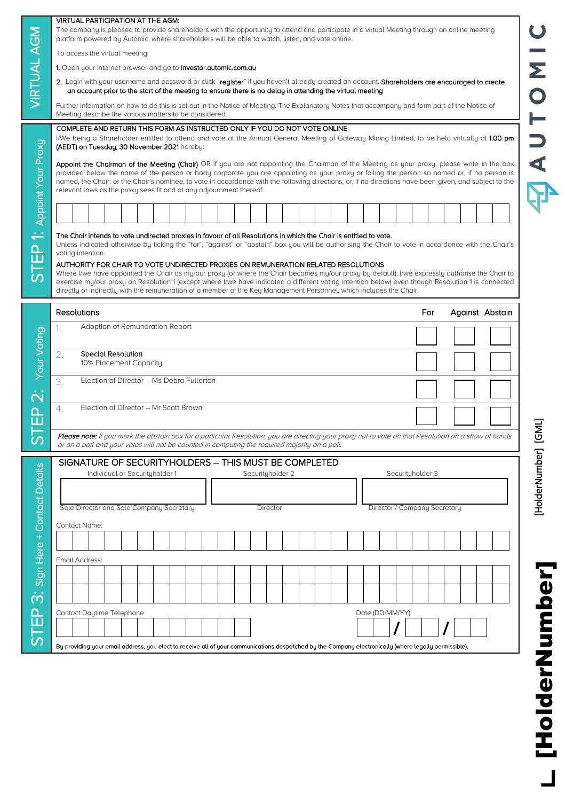|                                               | <b>VIRTUAL PARTICIPATION AT THE AGM:</b><br>The company is pleased to provide shareholders with the opportunity to attend and participate in a virtual Meeting through an online meeting                                                                                                                                                                                                                                                                                                                                               |                |
|-----------------------------------------------|----------------------------------------------------------------------------------------------------------------------------------------------------------------------------------------------------------------------------------------------------------------------------------------------------------------------------------------------------------------------------------------------------------------------------------------------------------------------------------------------------------------------------------------|----------------|
| <b>VIRTUAL AGM</b>                            | platform powered by Automic, where shareholders will be able to watch, listen, and vote online.<br>To access the virtual meeting:                                                                                                                                                                                                                                                                                                                                                                                                      |                |
|                                               | 1. Open your internet browser and go to investor.automic.com.au                                                                                                                                                                                                                                                                                                                                                                                                                                                                        | Σ              |
|                                               | 2. Login with your username and password or click "register" if you haven't already created an account. Shareholders are encouraged to create                                                                                                                                                                                                                                                                                                                                                                                          |                |
|                                               | an account prior to the start of the meeting to ensure there is no delay in attending the virtual meeting                                                                                                                                                                                                                                                                                                                                                                                                                              |                |
|                                               | Further information on how to do this is set out in the Notice of Meeting. The Explanatory Notes that accompany and form part of the Notice of<br>Meeting describe the various matters to be considered.                                                                                                                                                                                                                                                                                                                               |                |
|                                               | COMPLETE AND RETURN THIS FORM AS INSTRUCTED ONLY IF YOU DO NOT VOTE ONLINE<br>I/We being a Shareholder entitled to attend and vote at the Annual General Meeting of Gateway Mining Limited, to be held virtually at 1.00 pm<br>(AEDT) on Tuesday, 30 November 2021 hereby:                                                                                                                                                                                                                                                             |                |
|                                               | Appoint the Chairman of the Meeting (Chair) OR if you are not appointing the Chairman of the Meeting as your proxy, please write in the box<br>provided below the name of the person or body corporate you are appointing as your proxy or failing the person so named or, if no person is<br>named, the Chair, or the Chair's nominee, to vote in accordance with the following directions, or, if no directions have been given, and subject to the<br>relevant laws as the proxy sees fit and at any adjournment thereof.           |                |
| Appoint Your Proxy                            |                                                                                                                                                                                                                                                                                                                                                                                                                                                                                                                                        |                |
|                                               |                                                                                                                                                                                                                                                                                                                                                                                                                                                                                                                                        |                |
|                                               | voting intention.<br>AUTHORITY FOR CHAIR TO VOTE UNDIRECTED PROXIES ON REMUNERATION RELATED RESOLUTIONS<br>Where I/we have appointed the Chair as my/our proxy (or where the Chair becomes my/our proxy by default), I/we expressly authorise the Chair to<br>exercise my/our proxy on Resolution 1 (except where I/we have indicated a different voting intention below) even though Resolution 1 is connected<br>directly or indirectly with the remuneration of a member of the Key Management Personnel, which includes the Chair. |                |
|                                               | Resolutions<br>Against Abstain<br>For                                                                                                                                                                                                                                                                                                                                                                                                                                                                                                  |                |
|                                               | Adoption of Remuneration Report<br>1.                                                                                                                                                                                                                                                                                                                                                                                                                                                                                                  |                |
| <b>Your Voting</b>                            | <b>Special Resolution</b><br>2.                                                                                                                                                                                                                                                                                                                                                                                                                                                                                                        |                |
|                                               | 10% Placement Capacity                                                                                                                                                                                                                                                                                                                                                                                                                                                                                                                 |                |
|                                               | Election of Director - Ms Debra Fullarton<br>3.                                                                                                                                                                                                                                                                                                                                                                                                                                                                                        |                |
|                                               | Election of Director - Mr Scott Brown<br>4.                                                                                                                                                                                                                                                                                                                                                                                                                                                                                            |                |
|                                               |                                                                                                                                                                                                                                                                                                                                                                                                                                                                                                                                        |                |
|                                               | Please note: If you mark the abstain box for a particular Resolution, you are directing your proxy not to vote on that Resolution on a show of hands<br>or on a poll and your votes will not be counted in computing the required majority on a poll.                                                                                                                                                                                                                                                                                  | <u>ප</u>       |
|                                               |                                                                                                                                                                                                                                                                                                                                                                                                                                                                                                                                        |                |
|                                               | SIGNATURE OF SECURITYHOLDERS - THIS MUST BE COMPLETED<br>Individual or Securityholder 1<br>Securityholder 2<br>Securityholder 3                                                                                                                                                                                                                                                                                                                                                                                                        |                |
|                                               |                                                                                                                                                                                                                                                                                                                                                                                                                                                                                                                                        | [HolderNumber] |
|                                               | Sole Director and Sole Company Secretary<br>Director / Company Secretary<br>Director                                                                                                                                                                                                                                                                                                                                                                                                                                                   |                |
|                                               | Contact Name:                                                                                                                                                                                                                                                                                                                                                                                                                                                                                                                          |                |
|                                               |                                                                                                                                                                                                                                                                                                                                                                                                                                                                                                                                        |                |
|                                               | Email Address:                                                                                                                                                                                                                                                                                                                                                                                                                                                                                                                         |                |
|                                               |                                                                                                                                                                                                                                                                                                                                                                                                                                                                                                                                        |                |
|                                               |                                                                                                                                                                                                                                                                                                                                                                                                                                                                                                                                        |                |
|                                               |                                                                                                                                                                                                                                                                                                                                                                                                                                                                                                                                        |                |
|                                               |                                                                                                                                                                                                                                                                                                                                                                                                                                                                                                                                        |                |
| <b>Contact Details</b><br>Here +<br>Sign<br>ш | Contact Daytime Telephone<br>Date (DD/MM/YY)                                                                                                                                                                                                                                                                                                                                                                                                                                                                                           |                |